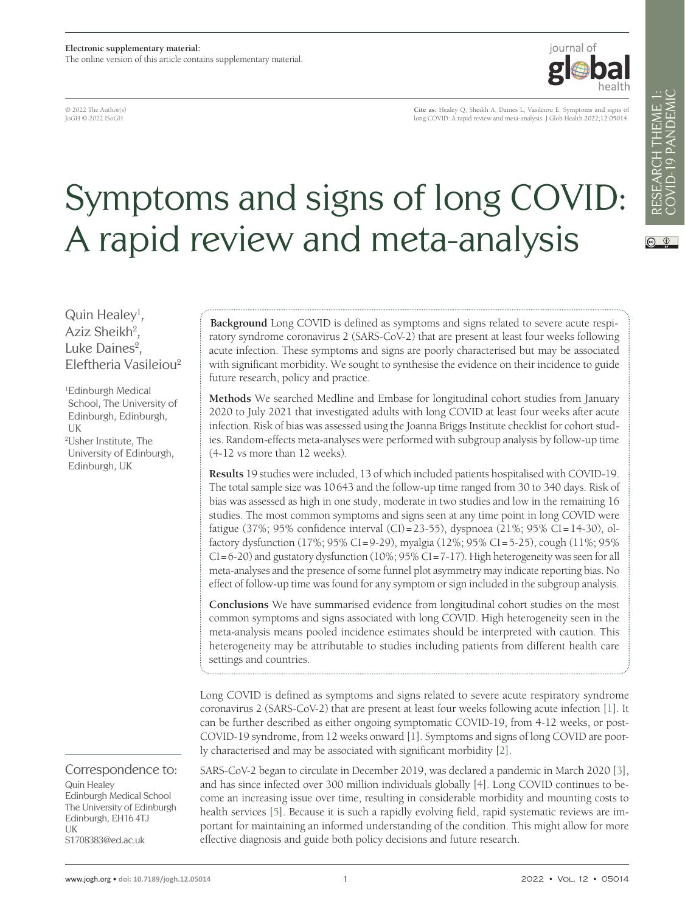© 2022 The Author(s) JoGH © 2022 ISoGH

**Cite as:** Healey Q, Sheikh A, Daines L, Vasileiou E. Symptoms and signs of long COVID: A rapid review and meta-analysis. J Glob Health 2022;12:05014.

iournal of

# Symptoms and signs of long COVID: A rapid review and meta-analysis

Quin Healey<sup>1</sup>, Aziz Sheikh<sup>2</sup>, Luke Daines $2$ , Eleftheria Vasileiou2

1 Edinburgh Medical School, The University of Edinburgh, Edinburgh, UK 2 Usher Institute, The University of Edinburgh, Edinburgh, UK

Correspondence to:

Quin Healey Edinburgh Medical School The University of Edinburgh Edinburgh, EH16 4TJ UK S1708383@ed.ac.uk

**Background** Long COVID is defined as symptoms and signs related to severe acute respiratory syndrome coronavirus 2 (SARS-CoV-2) that are present at least four weeks following acute infection. These symptoms and signs are poorly characterised but may be associated with significant morbidity. We sought to synthesise the evidence on their incidence to guide future research, policy and practice.

**Methods** We searched Medline and Embase for longitudinal cohort studies from January 2020 to July 2021 that investigated adults with long COVID at least four weeks after acute infection. Risk of bias was assessed using the Joanna Briggs Institute checklist for cohort studies. Random-effects meta-analyses were performed with subgroup analysis by follow-up time (4-12 vs more than 12 weeks).

**Results** 19 studies were included, 13 of which included patients hospitalised with COVID-19. The total sample size was 10643 and the follow-up time ranged from 30 to 340 days. Risk of bias was assessed as high in one study, moderate in two studies and low in the remaining 16 studies. The most common symptoms and signs seen at any time point in long COVID were fatigue (37%; 95% confidence interval (CI)=23-55), dyspnoea (21%; 95% CI=14-30), olfactory dysfunction (17%; 95% CI=9-29), myalgia (12%; 95% CI=5-25), cough (11%; 95%  $CI = 6-20$ ) and gustatory dysfunction  $(10\%; 95\% CI = 7-17)$ . High heterogeneity was seen for all meta-analyses and the presence of some funnel plot asymmetry may indicate reporting bias. No effect of follow-up time was found for any symptom or sign included in the subgroup analysis.

**Conclusions** We have summarised evidence from longitudinal cohort studies on the most common symptoms and signs associated with long COVID. High heterogeneity seen in the meta-analysis means pooled incidence estimates should be interpreted with caution. This heterogeneity may be attributable to studies including patients from different health care settings and countries.

Long COVID is defined as symptoms and signs related to severe acute respiratory syndrome coronavirus 2 (SARS-CoV-2) that are present at least four weeks following acute infection [[1\]](#page-7-0). It can be further described as either ongoing symptomatic COVID-19, from 4-12 weeks, or post-COVID-19 syndrome, from 12 weeks onward [[1\]](#page-7-0). Symptoms and signs of long COVID are poorly characterised and may be associated with significant morbidity [\[2](#page-7-1)].

SARS-CoV-2 began to circulate in December 2019, was declared a pandemic in March 2020 [\[3](#page-7-2)], and has since infected over 300 million individuals globally [[4\]](#page-7-3). Long COVID continues to become an increasing issue over time, resulting in considerable morbidity and mounting costs to health services [[5\]](#page-7-4). Because it is such a rapidly evolving field, rapid systematic reviews are important for maintaining an informed understanding of the condition. This might allow for more effective diagnosis and guide both policy decisions and future research.

 $\circledcirc$   $\circledcirc$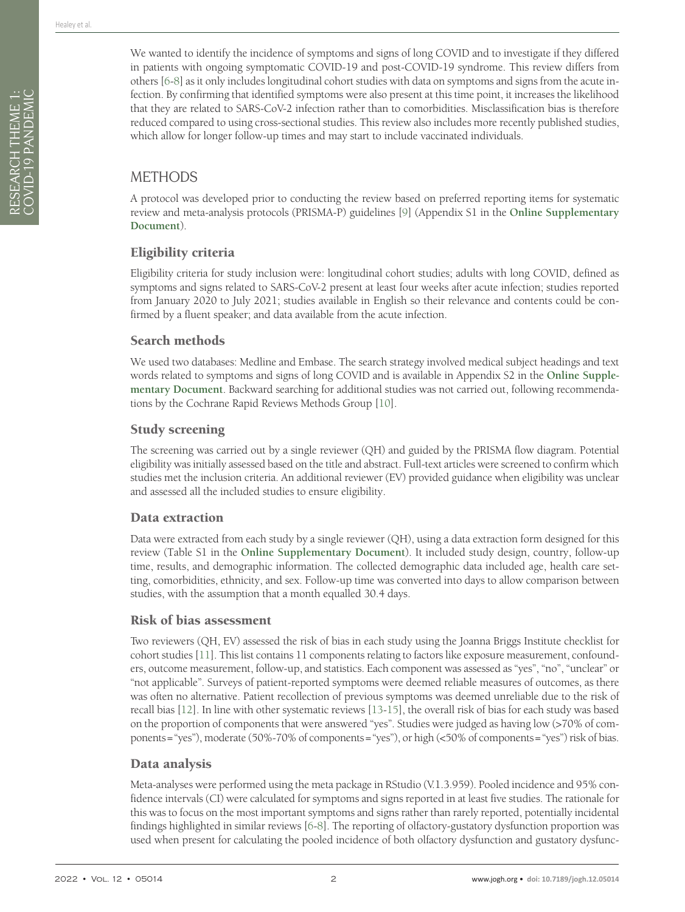We wanted to identify the incidence of symptoms and signs of long COVID and to investigate if they differed in patients with ongoing symptomatic COVID-19 and post-COVID-19 syndrome. This review differs from others [[6](#page-7-5)[-8](#page-7-6)] as it only includes longitudinal cohort studies with data on symptoms and signs from the acute infection. By confirming that identified symptoms were also present at this time point, it increases the likelihood that they are related to SARS-CoV-2 infection rather than to comorbidities. Misclassification bias is therefore reduced compared to using cross-sectional studies. This review also includes more recently published studies, which allow for longer follow-up times and may start to include vaccinated individuals.

# METHODS

A protocol was developed prior to conducting the review based on preferred reporting items for systematic review and meta-analysis protocols (PRISMA-P) guidelines [[9\]](#page-7-7) (Appendix S1 in the **[Online Supplementary](#page-7-8)  [Document](#page-7-8)**).

## Eligibility criteria

Eligibility criteria for study inclusion were: longitudinal cohort studies; adults with long COVID, defined as symptoms and signs related to SARS-CoV-2 present at least four weeks after acute infection; studies reported from January 2020 to July 2021; studies available in English so their relevance and contents could be confirmed by a fluent speaker; and data available from the acute infection.

#### Search methods

We used two databases: Medline and Embase. The search strategy involved medical subject headings and text words related to symptoms and signs of long COVID and is available in Appendix S2 in the **[Online Supple](#page-7-8)[mentary Document](#page-7-8)**. Backward searching for additional studies was not carried out, following recommendations by the Cochrane Rapid Reviews Methods Group [\[10\]](#page-7-9).

## Study screening

The screening was carried out by a single reviewer (QH) and guided by the PRISMA flow diagram. Potential eligibility was initially assessed based on the title and abstract. Full-text articles were screened to confirm which studies met the inclusion criteria. An additional reviewer (EV) provided guidance when eligibility was unclear and assessed all the included studies to ensure eligibility.

#### Data extraction

Data were extracted from each study by a single reviewer (QH), using a data extraction form designed for this review (Table S1 in the **[Online Supplementary Document](#page-7-8)**). It included study design, country, follow-up time, results, and demographic information. The collected demographic data included age, health care setting, comorbidities, ethnicity, and sex. Follow-up time was converted into days to allow comparison between studies, with the assumption that a month equalled 30.4 days.

#### Risk of bias assessment

Two reviewers (QH, EV) assessed the risk of bias in each study using the Joanna Briggs Institute checklist for cohort studies [[11](#page-7-10)]. This list contains 11 components relating to factors like exposure measurement, confounders, outcome measurement, follow-up, and statistics. Each component was assessed as "yes", "no", "unclear" or "not applicable". Surveys of patient-reported symptoms were deemed reliable measures of outcomes, as there was often no alternative. Patient recollection of previous symptoms was deemed unreliable due to the risk of recall bias [\[12\]](#page-8-0). In line with other systematic reviews [\[13](#page-8-1)[-15\]](#page-8-2), the overall risk of bias for each study was based on the proportion of components that were answered "yes". Studies were judged as having low (>70% of components="yes"), moderate (50%-70% of components="yes"), or high (<50% of components="yes") risk of bias.

## Data analysis

Meta-analyses were performed using the meta package in RStudio (V.1.3.959). Pooled incidence and 95% confidence intervals (CI) were calculated for symptoms and signs reported in at least five studies. The rationale for this was to focus on the most important symptoms and signs rather than rarely reported, potentially incidental findings highlighted in similar reviews [[6-](#page-7-5)[8\]](#page-7-6). The reporting of olfactory-gustatory dysfunction proportion was used when present for calculating the pooled incidence of both olfactory dysfunction and gustatory dysfunc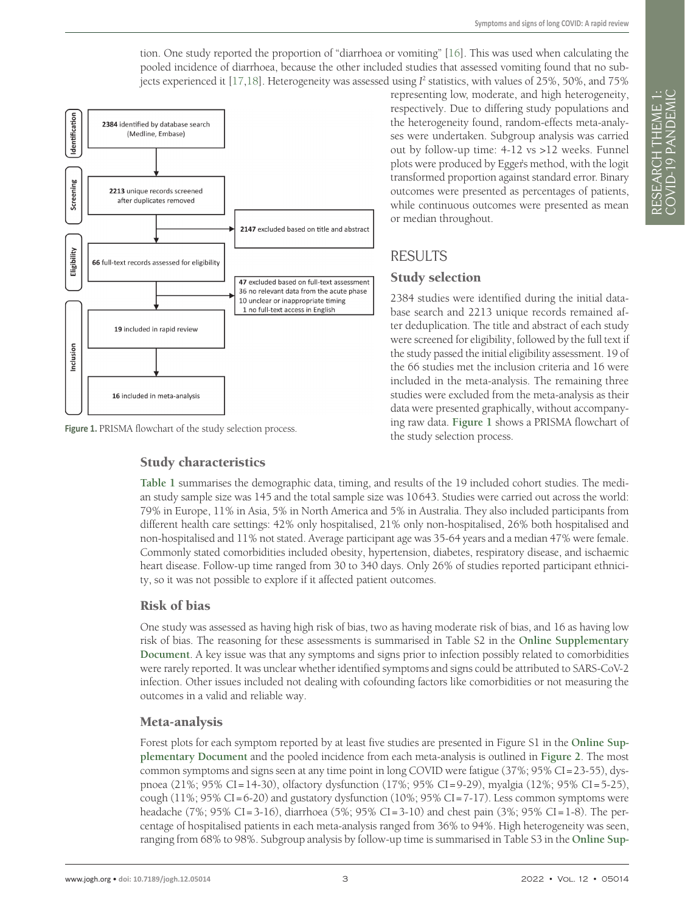tion. One study reported the proportion of "diarrhoea or vomiting" [\[16](#page-8-3)]. This was used when calculating the pooled incidence of diarrhoea, because the other included studies that assessed vomiting found that no sub-jects experienced it [[17](#page-8-4),[18\]](#page-8-5). Heterogeneity was assessed using  $I^2$  statistics, with values of 25%, 50%, and 75%

<span id="page-2-0"></span>

Figure 1. PRISMA flowchart of the study selection process.

#### Study characteristics

representing low, moderate, and high heterogeneity, respectively. Due to differing study populations and the heterogeneity found, random-effects meta-analyses were undertaken. Subgroup analysis was carried out by follow-up time: 4-12 vs >12 weeks. Funnel plots were produced by Egger's method, with the logit transformed proportion against standard error. Binary outcomes were presented as percentages of patients, while continuous outcomes were presented as mean or median throughout.

# **RESULTS**

#### Study selection

2384 studies were identified during the initial database search and 2213 unique records remained after deduplication. The title and abstract of each study were screened for eligibility, followed by the full text if the study passed the initial eligibility assessment. 19 of the 66 studies met the inclusion criteria and 16 were included in the meta-analysis. The remaining three studies were excluded from the meta-analysis as their data were presented graphically, without accompanying raw data. **[Figure 1](#page-2-0)** shows a PRISMA flowchart of the study selection process.

**[Table 1](#page-3-0)** summarises the demographic data, timing, and results of the 19 included cohort studies. The median study sample size was 145 and the total sample size was 10643. Studies were carried out across the world: 79% in Europe, 11% in Asia, 5% in North America and 5% in Australia. They also included participants from different health care settings: 42% only hospitalised, 21% only non-hospitalised, 26% both hospitalised and non-hospitalised and 11% not stated. Average participant age was 35-64 years and a median 47% were female. Commonly stated comorbidities included obesity, hypertension, diabetes, respiratory disease, and ischaemic heart disease. Follow-up time ranged from 30 to 340 days. Only 26% of studies reported participant ethnicity, so it was not possible to explore if it affected patient outcomes.

#### Risk of bias

One study was assessed as having high risk of bias, two as having moderate risk of bias, and 16 as having low risk of bias. The reasoning for these assessments is summarised in Table S2 in the **[Online Supplementary](#page-7-8) [Document](#page-7-8)**. A key issue was that any symptoms and signs prior to infection possibly related to comorbidities were rarely reported. It was unclear whether identified symptoms and signs could be attributed to SARS-CoV-2 infection. Other issues included not dealing with cofounding factors like comorbidities or not measuring the outcomes in a valid and reliable way.

## Meta-analysis

Forest plots for each symptom reported by at least five studies are presented in Figure S1 in the **[Online Sup](#page-7-8)[plementary Document](#page-7-8)** and the pooled incidence from each meta-analysis is outlined in **[Figure 2](#page-6-0)**. The most common symptoms and signs seen at any time point in long COVID were fatigue (37%; 95% CI=23-55), dyspnoea (21%; 95% CI=14-30), olfactory dysfunction (17%; 95% CI=9-29), myalgia (12%; 95% CI=5-25), cough (11%; 95% CI=6-20) and gustatory dysfunction (10%; 95% CI=7-17). Less common symptoms were headache (7%; 95% CI=3-16), diarrhoea (5%; 95% CI=3-10) and chest pain (3%; 95% CI=1-8). The percentage of hospitalised patients in each meta-analysis ranged from 36% to 94%. High heterogeneity was seen, ranging from 68% to 98%. Subgroup analysis by follow-up time is summarised in Table S3 in the **[Online Sup-](#page-7-8)**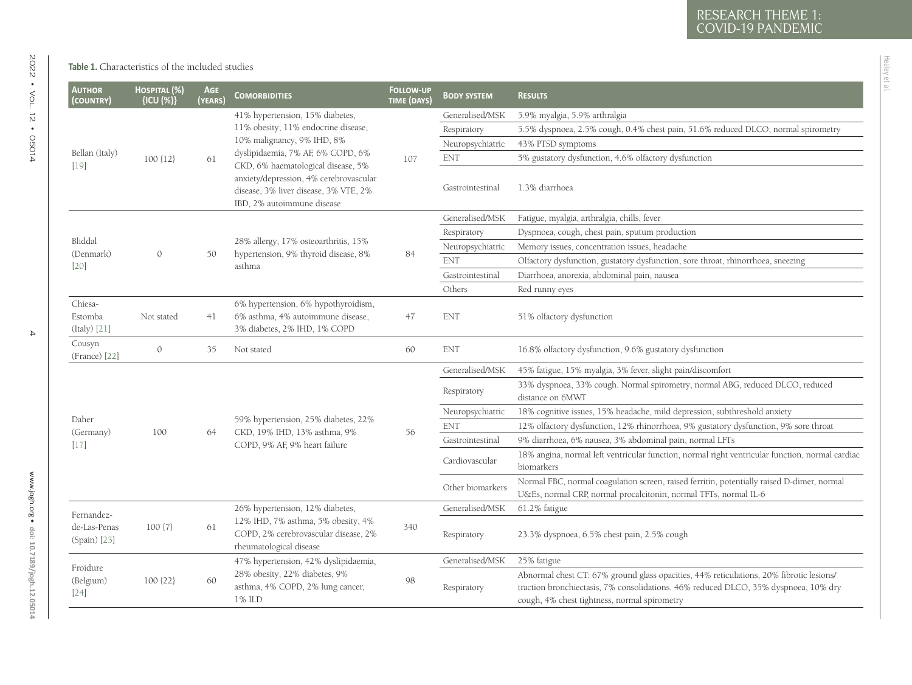Healey et al.

<span id="page-3-0"></span>

| <b>AUTHOR</b><br>(COUNTRY)                 | HOSPITAL (%)<br>{ICU (%)} | <b>AGE</b><br>(YEARS) | <b>COMORBIDITIES</b>                                                                                                                                                                                                                                                                             | <b>FOLLOW-UP</b><br><b>TIME (DAYS)</b> | <b>BODY SYSTEM</b> | <b>RESULTS</b>                                                                                                                                                                                                                 |
|--------------------------------------------|---------------------------|-----------------------|--------------------------------------------------------------------------------------------------------------------------------------------------------------------------------------------------------------------------------------------------------------------------------------------------|----------------------------------------|--------------------|--------------------------------------------------------------------------------------------------------------------------------------------------------------------------------------------------------------------------------|
| Bellan (Italy)<br>$[19]$                   |                           | 61                    | 41% hypertension, 15% diabetes,<br>11% obesity, 11% endocrine disease,<br>10% malignancy, 9% IHD, 8%<br>dyslipidaemia, 7% AF, 6% COPD, 6%<br>CKD, 6% haematological disease, 5%<br>anxiety/depression, 4% cerebrovascular<br>disease, 3% liver disease, 3% VTE, 2%<br>IBD, 2% autoimmune disease | 107                                    | Generalised/MSK    | 5.9% myalgia, 5.9% arthralgia                                                                                                                                                                                                  |
|                                            |                           |                       |                                                                                                                                                                                                                                                                                                  |                                        | Respiratory        | 5.5% dyspnoea, 2.5% cough, 0.4% chest pain, 51.6% reduced DLCO, normal spirometry                                                                                                                                              |
|                                            |                           |                       |                                                                                                                                                                                                                                                                                                  |                                        | Neuropsychiatric   | 43% PTSD symptoms                                                                                                                                                                                                              |
|                                            | $100$ $\{12\}$            |                       |                                                                                                                                                                                                                                                                                                  |                                        | <b>ENT</b>         | 5% gustatory dysfunction, 4.6% olfactory dysfunction                                                                                                                                                                           |
|                                            |                           |                       |                                                                                                                                                                                                                                                                                                  |                                        | Gastrointestinal   | 1.3% diarrhoea                                                                                                                                                                                                                 |
| Bliddal<br>(Denmark)<br>$[20]$             |                           | 50                    | 28% allergy, 17% osteoarthritis, 15%<br>hypertension, 9% thyroid disease, 8%<br>asthma                                                                                                                                                                                                           | 84                                     | Generalised/MSK    | Fatigue, myalgia, arthralgia, chills, fever                                                                                                                                                                                    |
|                                            | $\mathcal{O}$             |                       |                                                                                                                                                                                                                                                                                                  |                                        | Respiratory        | Dyspnoea, cough, chest pain, sputum production                                                                                                                                                                                 |
|                                            |                           |                       |                                                                                                                                                                                                                                                                                                  |                                        | Neuropsychiatric   | Memory issues, concentration issues, headache                                                                                                                                                                                  |
|                                            |                           |                       |                                                                                                                                                                                                                                                                                                  |                                        | <b>ENT</b>         | Olfactory dysfunction, gustatory dysfunction, sore throat, rhinorrhoea, sneezing                                                                                                                                               |
|                                            |                           |                       |                                                                                                                                                                                                                                                                                                  |                                        | Gastrointestinal   | Diarrhoea, anorexia, abdominal pain, nausea                                                                                                                                                                                    |
|                                            |                           |                       |                                                                                                                                                                                                                                                                                                  |                                        | Others             | Red runny eyes                                                                                                                                                                                                                 |
| Chiesa-<br>Estomba<br>(Italy) [21]         | Not stated                | 41                    | 6% hypertension, 6% hypothyroidism,<br>6% asthma, 4% autoimmune disease,<br>3% diabetes, 2% IHD, 1% COPD                                                                                                                                                                                         | 47                                     | <b>ENT</b>         | 51% olfactory dysfunction                                                                                                                                                                                                      |
| Cousyn<br>(France) [22]                    | $\circ$                   | 35                    | Not stated                                                                                                                                                                                                                                                                                       | 60                                     | <b>ENT</b>         | 16.8% olfactory dysfunction, 9.6% gustatory dysfunction                                                                                                                                                                        |
|                                            |                           |                       | 59% hypertension, 25% diabetes, 22%<br>CKD, 19% IHD, 13% asthma, 9%<br>COPD, 9% AF, 9% heart failure                                                                                                                                                                                             | 56                                     | Generalised/MSK    | 45% fatigue, 15% myalgia, 3% fever, slight pain/discomfort                                                                                                                                                                     |
| Daher<br>(Germany)<br>$[17]$               | 100                       | 64                    |                                                                                                                                                                                                                                                                                                  |                                        | Respiratory        | 33% dyspnoea, 33% cough. Normal spirometry, normal ABG, reduced DLCO, reduced<br>distance on 6MWT                                                                                                                              |
|                                            |                           |                       |                                                                                                                                                                                                                                                                                                  |                                        | Neuropsychiatric   | 18% cognitive issues, 15% headache, mild depression, subthreshold anxiety                                                                                                                                                      |
|                                            |                           |                       |                                                                                                                                                                                                                                                                                                  |                                        | <b>ENT</b>         | 12% olfactory dysfunction, 12% rhinorrhoea, 9% gustatory dysfunction, 9% sore throat                                                                                                                                           |
|                                            |                           |                       |                                                                                                                                                                                                                                                                                                  |                                        | Gastrointestinal   | 9% diarrhoea, 6% nausea, 3% abdominal pain, normal LFTs                                                                                                                                                                        |
|                                            |                           |                       |                                                                                                                                                                                                                                                                                                  |                                        | Cardiovascular     | 18% angina, normal left ventricular function, normal right ventricular function, normal cardiac<br>biomarkers                                                                                                                  |
|                                            |                           |                       |                                                                                                                                                                                                                                                                                                  |                                        | Other biomarkers   | Normal FBC, normal coagulation screen, raised ferritin, potentially raised D-dimer, normal<br>U&Es, normal CRP, normal procalcitonin, normal TFTs, normal IL-6                                                                 |
| Fernandez-<br>de-Las-Penas<br>(Spain) [23] | $100\{7\}$                | 61                    | 26% hypertension, 12% diabetes,<br>12% IHD, 7% asthma, 5% obesity, 4%<br>COPD, 2% cerebrovascular disease, 2%<br>rheumatological disease                                                                                                                                                         | 340                                    | Generalised/MSK    | 61.2% fatigue                                                                                                                                                                                                                  |
|                                            |                           |                       |                                                                                                                                                                                                                                                                                                  |                                        | Respiratory        | 23.3% dyspnoea, 6.5% chest pain, 2.5% cough                                                                                                                                                                                    |
|                                            |                           |                       | 47% hypertension, 42% dyslipidaemia,                                                                                                                                                                                                                                                             |                                        | Generalised/MSK    | 25% fatigue                                                                                                                                                                                                                    |
| Froidure<br>(Belgium)<br>$[24]$            | $100$ $\{22\}$            | 60                    | 28% obesity, 22% diabetes, 9%<br>asthma, 4% COPD, 2% lung cancer,<br>1% ILD                                                                                                                                                                                                                      | 98                                     | Respiratory        | Abnormal chest CT: 67% ground glass opacities, 44% reticulations, 20% fibrotic lesions/<br>traction bronchiectasis, 7% consolidations. 46% reduced DLCO, 35% dyspnoea, 10% dry<br>cough, 4% chest tightness, normal spirometry |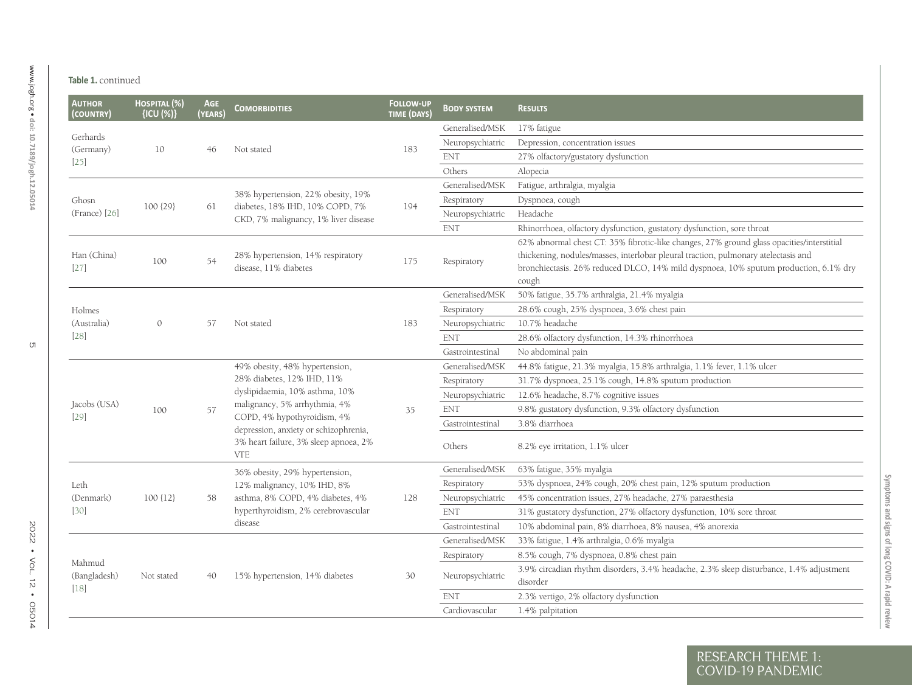| <b>AUTHOR</b><br>(COUNTRY)       | HOSPITAL (%)<br>${ICU (%)}$ | <b>AGE</b><br><b>YEARS</b> | <b>COMORBIDITIES</b>                                                                                                                                                                                                                                           | <b>FOLLOW-UP</b><br>TIME (DAYS) | <b>BODY SYSTEM</b> | <b>RESULTS</b>                                                                                                                                                                                                                                                                   |
|----------------------------------|-----------------------------|----------------------------|----------------------------------------------------------------------------------------------------------------------------------------------------------------------------------------------------------------------------------------------------------------|---------------------------------|--------------------|----------------------------------------------------------------------------------------------------------------------------------------------------------------------------------------------------------------------------------------------------------------------------------|
|                                  |                             |                            |                                                                                                                                                                                                                                                                |                                 | Generalised/MSK    | 17% fatigue                                                                                                                                                                                                                                                                      |
| Gerhards<br>(Germany)<br>$[25]$  | 10                          |                            | Not stated                                                                                                                                                                                                                                                     | 183                             | Neuropsychiatric   | Depression, concentration issues                                                                                                                                                                                                                                                 |
|                                  |                             | 46                         |                                                                                                                                                                                                                                                                |                                 | <b>ENT</b>         | 27% olfactory/gustatory dysfunction                                                                                                                                                                                                                                              |
|                                  |                             |                            |                                                                                                                                                                                                                                                                |                                 | Others             | Alopecia                                                                                                                                                                                                                                                                         |
| Ghosn<br>(France) [26]           |                             | 61                         | 38% hypertension, 22% obesity, 19%<br>diabetes, 18% IHD, 10% COPD, 7%<br>CKD, 7% malignancy, 1% liver disease                                                                                                                                                  | 194                             | Generalised/MSK    | Fatigue, arthralgia, myalgia                                                                                                                                                                                                                                                     |
|                                  | 100 {29}                    |                            |                                                                                                                                                                                                                                                                |                                 | Respiratory        | Dyspnoea, cough                                                                                                                                                                                                                                                                  |
|                                  |                             |                            |                                                                                                                                                                                                                                                                |                                 | Neuropsychiatric   | Headache                                                                                                                                                                                                                                                                         |
|                                  |                             |                            |                                                                                                                                                                                                                                                                |                                 | <b>ENT</b>         | Rhinorrhoea, olfactory dysfunction, gustatory dysfunction, sore throat                                                                                                                                                                                                           |
| Han (China)<br>$[27]$            | 100                         | 54                         | 28% hypertension, 14% respiratory<br>disease, 11% diabetes                                                                                                                                                                                                     | 175                             | Respiratory        | 62% abnormal chest CT: 35% fibrotic-like changes, 27% ground glass opacities/interstitial<br>thickening, nodules/masses, interlobar pleural traction, pulmonary atelectasis and<br>bronchiectasis. 26% reduced DLCO, 14% mild dyspnoea, 10% sputum production, 6.1% dry<br>cough |
|                                  |                             |                            |                                                                                                                                                                                                                                                                |                                 | Generalised/MSK    | 50% fatigue, 35.7% arthralgia, 21.4% myalgia                                                                                                                                                                                                                                     |
| Holmes                           |                             |                            |                                                                                                                                                                                                                                                                |                                 | Respiratory        | 28.6% cough, 25% dyspnoea, 3.6% chest pain                                                                                                                                                                                                                                       |
| (Australia)<br>$[28]$            | $\mathcal{O}$               | 57                         | Not stated                                                                                                                                                                                                                                                     | 183                             | Neuropsychiatric   | 10.7% headache                                                                                                                                                                                                                                                                   |
|                                  |                             |                            |                                                                                                                                                                                                                                                                |                                 | ${\rm ENT}$        | 28.6% olfactory dysfunction, 14.3% rhinorrhoea                                                                                                                                                                                                                                   |
|                                  |                             |                            |                                                                                                                                                                                                                                                                |                                 | Gastrointestinal   | No abdominal pain                                                                                                                                                                                                                                                                |
|                                  | 100                         |                            | 49% obesity, 48% hypertension,<br>28% diabetes, 12% IHD, 11%<br>dyslipidaemia, 10% asthma, 10%<br>malignancy, 5% arrhythmia, 4%<br>COPD, 4% hypothyroidism, 4%<br>depression, anxiety or schizophrenia,<br>3% heart failure, 3% sleep apnoea, 2%<br><b>VTE</b> | 35                              | Generalised/MSK    | 44.8% fatigue, 21.3% myalgia, 15.8% arthralgia, 1.1% fever, 1.1% ulcer                                                                                                                                                                                                           |
|                                  |                             |                            |                                                                                                                                                                                                                                                                |                                 | Respiratory        | 31.7% dyspnoea, 25.1% cough, 14.8% sputum production                                                                                                                                                                                                                             |
|                                  |                             | 57                         |                                                                                                                                                                                                                                                                |                                 | Neuropsychiatric   | 12.6% headache, 8.7% cognitive issues                                                                                                                                                                                                                                            |
| Jacobs (USA)<br>$[29]$           |                             |                            |                                                                                                                                                                                                                                                                |                                 | <b>ENT</b>         | 9.8% gustatory dysfunction, 9.3% olfactory dysfunction                                                                                                                                                                                                                           |
|                                  |                             |                            |                                                                                                                                                                                                                                                                |                                 | Gastrointestinal   | 3.8% diarrhoea                                                                                                                                                                                                                                                                   |
|                                  |                             |                            |                                                                                                                                                                                                                                                                |                                 | Others             | 8.2% eye irritation, 1.1% ulcer                                                                                                                                                                                                                                                  |
|                                  |                             |                            | 36% obesity, 29% hypertension,                                                                                                                                                                                                                                 |                                 | Generalised/MSK    | 63% fatigue, 35% myalgia                                                                                                                                                                                                                                                         |
| Leth                             |                             |                            | 12% malignancy, 10% IHD, 8%                                                                                                                                                                                                                                    |                                 | Respiratory        | 53% dyspnoea, 24% cough, 20% chest pain, 12% sputum production                                                                                                                                                                                                                   |
| (Denmark)<br>$[30]$              | $100$ {12}                  | 58                         | asthma, 8% COPD, 4% diabetes, 4%<br>hyperthyroidism, 2% cerebrovascular<br>disease                                                                                                                                                                             | 128                             | Neuropsychiatric   | 45% concentration issues, 27% headache, 27% paraesthesia                                                                                                                                                                                                                         |
|                                  |                             |                            |                                                                                                                                                                                                                                                                |                                 | <b>ENT</b>         | 31% gustatory dysfunction, 27% olfactory dysfunction, 10% sore throat                                                                                                                                                                                                            |
|                                  |                             |                            |                                                                                                                                                                                                                                                                |                                 | Gastrointestinal   | 10% abdominal pain, 8% diarrhoea, 8% nausea, 4% anorexia                                                                                                                                                                                                                         |
| Mahmud<br>(Bangladesh)<br>$[18]$ | Not stated                  | 40                         | 15% hypertension, 14% diabetes                                                                                                                                                                                                                                 | 30                              | Generalised/MSK    | 33% fatigue, 1.4% arthralgia, 0.6% myalgia                                                                                                                                                                                                                                       |
|                                  |                             |                            |                                                                                                                                                                                                                                                                |                                 | Respiratory        | 8.5% cough, 7% dyspnoea, 0.8% chest pain                                                                                                                                                                                                                                         |
|                                  |                             |                            |                                                                                                                                                                                                                                                                |                                 | Neuropsychiatric   | 3.9% circadian rhythm disorders, 3.4% headache, 2.3% sleep disturbance, 1.4% adjustment<br>disorder                                                                                                                                                                              |
|                                  |                             |                            |                                                                                                                                                                                                                                                                |                                 | <b>ENT</b>         | 2.3% vertigo, 2% olfactory dysfunction                                                                                                                                                                                                                                           |
|                                  |                             |                            |                                                                                                                                                                                                                                                                |                                 | Cardiovascular     | 1.4% palpitation                                                                                                                                                                                                                                                                 |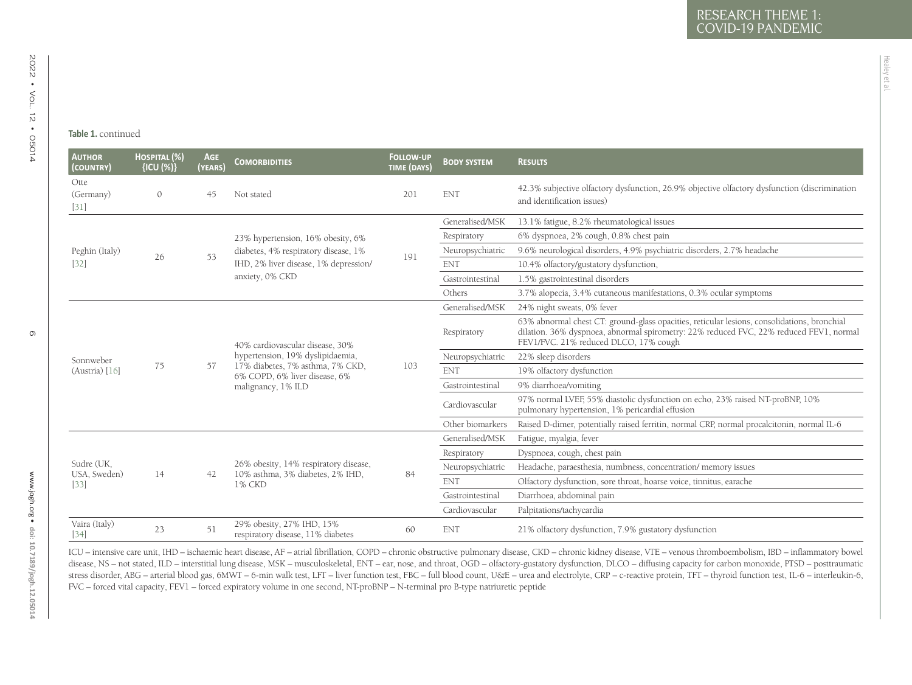Healey et al.

| <b>AUTHOR</b><br>(COUNTRY)  | HOSPITAL (%)<br>{ICU (%)} | AGE<br>(YEARS) | <b>COMORBIDITIES</b>                                                                                                                                           | <b>FOLLOW-UP</b><br>TIME (DAYS) | <b>BODY SYSTEM</b> | <b>RESULTS</b>                                                                                                                                                                                                                 |
|-----------------------------|---------------------------|----------------|----------------------------------------------------------------------------------------------------------------------------------------------------------------|---------------------------------|--------------------|--------------------------------------------------------------------------------------------------------------------------------------------------------------------------------------------------------------------------------|
| Otte<br>(Germany)<br>$[31]$ | $\mathcal{O}$             | 45             | Not stated                                                                                                                                                     | 201                             | <b>ENT</b>         | 42.3% subjective olfactory dysfunction, 26.9% objective olfactory dysfunction (discrimination<br>and identification issues)                                                                                                    |
|                             |                           |                |                                                                                                                                                                |                                 | Generalised/MSK    | 13.1% fatigue, 8.2% rheumatological issues                                                                                                                                                                                     |
|                             |                           |                | 23% hypertension, 16% obesity, 6%<br>diabetes, 4% respiratory disease, 1%<br>IHD, 2% liver disease, 1% depression/<br>anxiety, 0% CKD                          | 191                             | Respiratory        | 6% dyspnoea, 2% cough, 0.8% chest pain                                                                                                                                                                                         |
| Peghin (Italy)              | 26                        | 53             |                                                                                                                                                                |                                 | Neuropsychiatric   | 9.6% neurological disorders, 4.9% psychiatric disorders, 2.7% headache                                                                                                                                                         |
| $[32]$                      |                           |                |                                                                                                                                                                |                                 | <b>ENT</b>         | 10.4% olfactory/gustatory dysfunction,                                                                                                                                                                                         |
|                             |                           |                |                                                                                                                                                                |                                 | Gastrointestinal   | 1.5% gastrointestinal disorders                                                                                                                                                                                                |
|                             |                           |                |                                                                                                                                                                |                                 | Others             | 3.7% alopecia, 3.4% cutaneous manifestations, 0.3% ocular symptoms                                                                                                                                                             |
|                             |                           | 57             | 40% cardiovascular disease, 30%<br>hypertension, 19% dyslipidaemia,<br>17% diabetes, 7% asthma, 7% CKD,<br>6% COPD, 6% liver disease, 6%<br>malignancy, 1% ILD | 103                             | Generalised/MSK    | 24% night sweats, 0% fever                                                                                                                                                                                                     |
|                             | 75                        |                |                                                                                                                                                                |                                 | Respiratory        | 63% abnormal chest CT: ground-glass opacities, reticular lesions, consolidations, bronchial<br>dilation. 36% dyspnoea, abnormal spirometry: 22% reduced FVC, 22% reduced FEV1, normal<br>FEV1/FVC. 21% reduced DLCO, 17% cough |
| Sonnweber                   |                           |                |                                                                                                                                                                |                                 | Neuropsychiatric   | 22% sleep disorders                                                                                                                                                                                                            |
| (Austria) [16]              |                           |                |                                                                                                                                                                |                                 | <b>ENT</b>         | 19% olfactory dysfunction                                                                                                                                                                                                      |
|                             |                           |                |                                                                                                                                                                |                                 | Gastrointestinal   | 9% diarrhoea/vomiting                                                                                                                                                                                                          |
|                             |                           |                |                                                                                                                                                                |                                 | Cardiovascular     | 97% normal LVEF, 55% diastolic dysfunction on echo, 23% raised NT-proBNP, 10%<br>pulmonary hypertension, 1% pericardial effusion                                                                                               |
|                             |                           |                |                                                                                                                                                                |                                 | Other biomarkers   | Raised D-dimer, potentially raised ferritin, normal CRP, normal procalcitonin, normal IL-6                                                                                                                                     |
|                             | 14                        | 42             | 26% obesity, 14% respiratory disease,<br>10% asthma, 3% diabetes, 2% IHD,<br>1% CKD                                                                            | 84                              | Generalised/MSK    | Fatigue, myalgia, fever                                                                                                                                                                                                        |
|                             |                           |                |                                                                                                                                                                |                                 | Respiratory        | Dyspnoea, cough, chest pain                                                                                                                                                                                                    |
| Sudre (UK,<br>USA, Sweden)  |                           |                |                                                                                                                                                                |                                 | Neuropsychiatric   | Headache, paraesthesia, numbness, concentration/ memory issues                                                                                                                                                                 |
| [33]                        |                           |                |                                                                                                                                                                |                                 | <b>ENT</b>         | Olfactory dysfunction, sore throat, hoarse voice, tinnitus, earache                                                                                                                                                            |
|                             |                           |                |                                                                                                                                                                |                                 | Gastrointestinal   | Diarrhoea, abdominal pain                                                                                                                                                                                                      |
|                             |                           |                |                                                                                                                                                                |                                 | Cardiovascular     | Palpitations/tachycardia                                                                                                                                                                                                       |
| Vaira (Italy)               | 23                        | 51             | 29% obesity, 27% IHD, 15%<br>respiratory disease, 11% diabetes                                                                                                 | 60                              | <b>ENT</b>         | 21% olfactory dysfunction, 7.9% gustatory dysfunction                                                                                                                                                                          |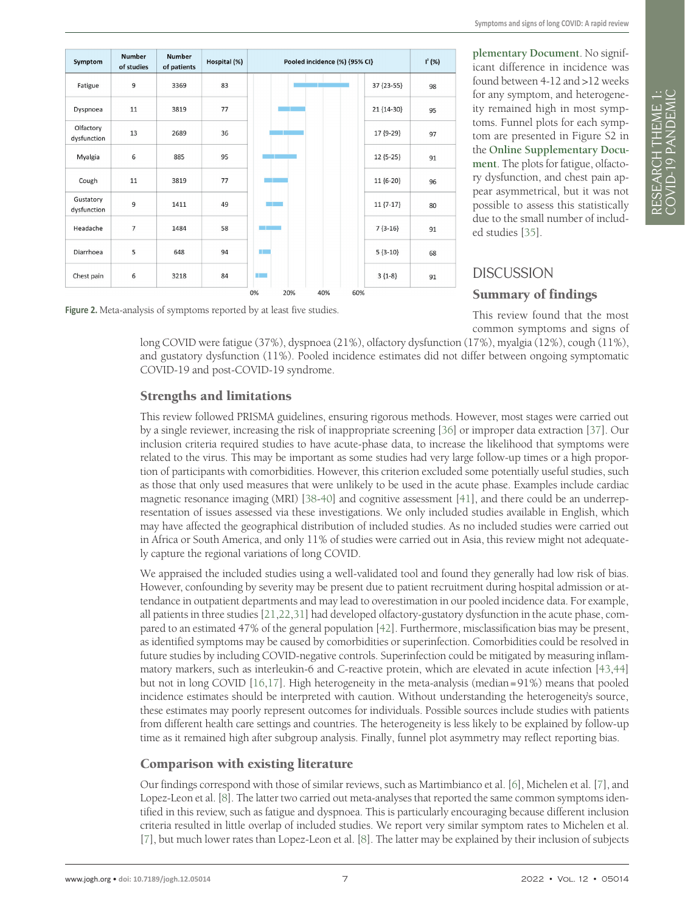<span id="page-6-0"></span>

**[plementary Document](#page-7-8)**. No significant difference in incidence was found between 4-12 and >12 weeks for any symptom, and heterogeneity remained high in most symptoms. Funnel plots for each symptom are presented in Figure S2 in the **[Online Supplementary Docu](#page-7-8)[ment](#page-7-8)**. The plots for fatigue, olfactory dysfunction, and chest pain appear asymmetrical, but it was not possible to assess this statistically due to the small number of included studies [\[35](#page-8-25)].

Figure 2. Meta-analysis of symptoms reported by at least five studies.

#### **DISCUSSION**

#### Summary of findings

This review found that the most common symptoms and signs of

long COVID were fatigue (37%), dyspnoea (21%), olfactory dysfunction (17%), myalgia (12%), cough (11%), and gustatory dysfunction (11%). Pooled incidence estimates did not differ between ongoing symptomatic COVID-19 and post-COVID-19 syndrome.

#### Strengths and limitations

This review followed PRISMA guidelines, ensuring rigorous methods. However, most stages were carried out by a single reviewer, increasing the risk of inappropriate screening [\[36](#page-9-0)] or improper data extraction [[37\]](#page-9-1). Our inclusion criteria required studies to have acute-phase data, to increase the likelihood that symptoms were related to the virus. This may be important as some studies had very large follow-up times or a high proportion of participants with comorbidities. However, this criterion excluded some potentially useful studies, such as those that only used measures that were unlikely to be used in the acute phase. Examples include cardiac magnetic resonance imaging (MRI) [\[38-](#page-9-2)[40\]](#page-9-3) and cognitive assessment [[41\]](#page-9-4), and there could be an underrepresentation of issues assessed via these investigations. We only included studies available in English, which may have affected the geographical distribution of included studies. As no included studies were carried out in Africa or South America, and only 11% of studies were carried out in Asia, this review might not adequately capture the regional variations of long COVID.

We appraised the included studies using a well-validated tool and found they generally had low risk of bias. However, confounding by severity may be present due to patient recruitment during hospital admission or attendance in outpatient departments and may lead to overestimation in our pooled incidence data. For example, all patients in three studies [[21](#page-8-26)[,22,](#page-8-27)[31](#page-8-28)] had developed olfactory-gustatory dysfunction in the acute phase, compared to an estimated 47% of the general population [\[42](#page-9-5)]. Furthermore, misclassification bias may be present, as identified symptoms may be caused by comorbidities or superinfection. Comorbidities could be resolved in future studies by including COVID-negative controls. Superinfection could be mitigated by measuring inflammatory markers, such as interleukin-6 and C-reactive protein, which are elevated in acute infection [\[43](#page-9-6),[44\]](#page-9-7) but not in long COVID [\[16](#page-8-3),[17\]](#page-8-4). High heterogeneity in the meta-analysis (median=91%) means that pooled incidence estimates should be interpreted with caution. Without understanding the heterogeneity's source, these estimates may poorly represent outcomes for individuals. Possible sources include studies with patients from different health care settings and countries. The heterogeneity is less likely to be explained by follow-up time as it remained high after subgroup analysis. Finally, funnel plot asymmetry may reflect reporting bias.

#### Comparison with existing literature

Our findings correspond with those of similar reviews, such as Martimbianco et al. [\[6](#page-7-5)], Michelen et al. [\[7\]](#page-7-11), and Lopez-Leon et al. [[8\]](#page-7-6). The latter two carried out meta-analyses that reported the same common symptoms identified in this review, such as fatigue and dyspnoea. This is particularly encouraging because different inclusion criteria resulted in little overlap of included studies. We report very similar symptom rates to Michelen et al. [\[7](#page-7-11)], but much lower rates than Lopez-Leon et al. [[8\]](#page-7-6). The latter may be explained by their inclusion of subjects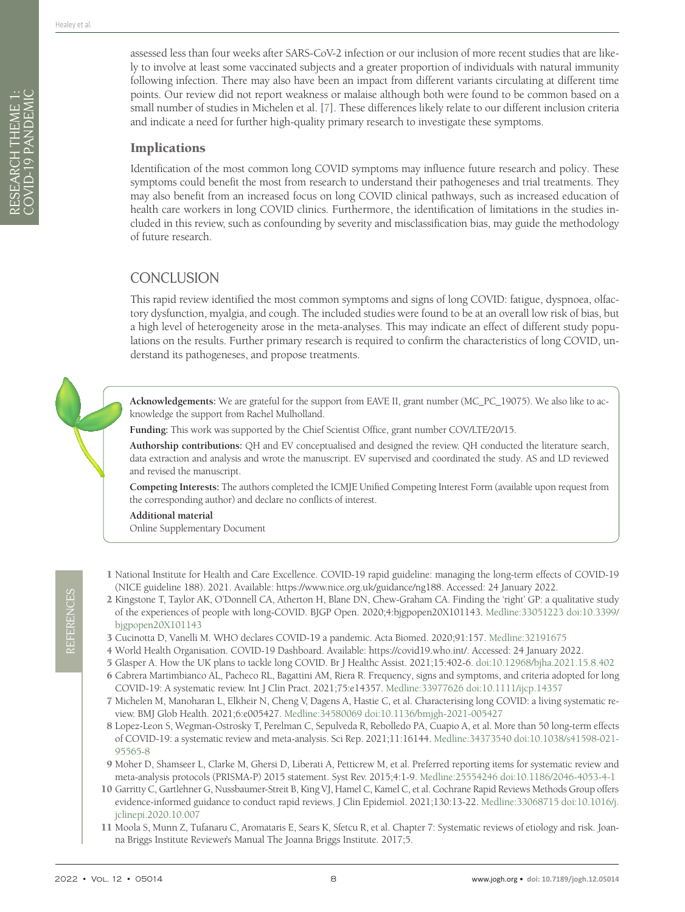RESEARCH THEME 1: COVID-19 PANDEMIC

RESEARCH THEME 1:<br>COVID-19 PANDEMIC

assessed less than four weeks after SARS-CoV-2 infection or our inclusion of more recent studies that are likely to involve at least some vaccinated subjects and a greater proportion of individuals with natural immunity following infection. There may also have been an impact from different variants circulating at different time points. Our review did not report weakness or malaise although both were found to be common based on a small number of studies in Michelen et al. [[7\]](#page-7-11). These differences likely relate to our different inclusion criteria and indicate a need for further high-quality primary research to investigate these symptoms.

#### **Implications**

Identification of the most common long COVID symptoms may influence future research and policy. These symptoms could benefit the most from research to understand their pathogeneses and trial treatments. They may also benefit from an increased focus on long COVID clinical pathways, such as increased education of health care workers in long COVID clinics. Furthermore, the identification of limitations in the studies included in this review, such as confounding by severity and misclassification bias, may guide the methodology of future research.

# **CONCLUSION**

This rapid review identified the most common symptoms and signs of long COVID: fatigue, dyspnoea, olfactory dysfunction, myalgia, and cough. The included studies were found to be at an overall low risk of bias, but a high level of heterogeneity arose in the meta-analyses. This may indicate an effect of different study populations on the results. Further primary research is required to confirm the characteristics of long COVID, understand its pathogeneses, and propose treatments.

**Acknowledgements:** We are grateful for the support from EAVE II, grant number (MC\_PC\_19075). We also like to acknowledge the support from Rachel Mulholland.

**Funding:** This work was supported by the Chief Scientist Office, grant number COV/LTE/20/15.

**Authorship contributions:** QH and EV conceptualised and designed the review. QH conducted the literature search, data extraction and analysis and wrote the manuscript. EV supervised and coordinated the study. AS and LD reviewed and revised the manuscript.

**Competing Interests:** The authors completed the ICMJE Unified Competing Interest Form (available upon request from the corresponding author) and declare no conflicts of interest.

<span id="page-7-8"></span>**Additional material** [Online Supplementary Document](https://jogh.org/documents/2022/jogh-12-05014-s001.pdf)

- <span id="page-7-0"></span>1 National Institute for Health and Care Excellence. COVID-19 rapid guideline: managing the long-term effects of COVID-19 (NICE guideline 188). 2021. Available: [https://www.nice.org.uk/guidance/ng188.](https://www.nice.org.uk/guidance/ng188) Accessed: 24 January 2022.
- <span id="page-7-1"></span>2 Kingstone T, Taylor AK, O'Donnell CA, Atherton H, Blane DN, Chew-Graham CA. Finding the 'right' GP: a qualitative study of the experiences of people with long-COVID. BJGP Open. 2020;4:bjgpopen20X101143. [Medline:33051223](https://www.ncbi.nlm.nih.gov/entrez/query.fcgi?cmd=Retrieve&db=PubMed&list_uids=33051223&dopt=Abstract) [doi:10.3399/](https://doi.org/10.3399/bjgpopen20X101143) [bjgpopen20X101143](https://doi.org/10.3399/bjgpopen20X101143)
- <span id="page-7-2"></span>3 Cucinotta D, Vanelli M. WHO declares COVID-19 a pandemic. Acta Biomed. 2020;91:157. [Medline:32191675](https://www.ncbi.nlm.nih.gov/entrez/query.fcgi?cmd=Retrieve&db=PubMed&list_uids=32191675&dopt=Abstract)
- <span id="page-7-3"></span>4 World Health Organisation. COVID-19 Dashboard. Available: <https://covid19.who.int/>. Accessed: 24 January 2022.
- <span id="page-7-4"></span>5 Glasper A. How the UK plans to tackle long COVID. Br J Healthc Assist. 2021;15:402-6. [doi:10.12968/bjha.2021.15.8.402](https://doi.org/10.12968/bjha.2021.15.8.402)
- <span id="page-7-5"></span>6 Cabrera Martimbianco AL, Pacheco RL, Bagattini AM, Riera R. Frequency, signs and symptoms, and criteria adopted for long COVID-19: A systematic review. Int J Clin Pract. 2021;75:e14357. [Medline:33977626](https://www.ncbi.nlm.nih.gov/entrez/query.fcgi?cmd=Retrieve&db=PubMed&list_uids=33977626&dopt=Abstract) [doi:10.1111/ijcp.14357](https://doi.org/10.1111/ijcp.14357)
- <span id="page-7-11"></span>7 Michelen M, Manoharan L, Elkheir N, Cheng V, Dagens A, Hastie C, et al. Characterising long COVID: a living systematic review. BMJ Glob Health. 2021;6:e005427. [Medline:34580069](https://www.ncbi.nlm.nih.gov/entrez/query.fcgi?cmd=Retrieve&db=PubMed&list_uids=34580069&dopt=Abstract) [doi:10.1136/bmjgh-2021-005427](https://doi.org/10.1136/bmjgh-2021-005427)
- <span id="page-7-6"></span>8 Lopez-Leon S, Wegman-Ostrosky T, Perelman C, Sepulveda R, Rebolledo PA, Cuapio A, et al. More than 50 long-term effects of COVID-19: a systematic review and meta-analysis. Sci Rep. 2021;11:16144. [Medline:34373540](https://www.ncbi.nlm.nih.gov/entrez/query.fcgi?cmd=Retrieve&db=PubMed&list_uids=34373540&dopt=Abstract) [doi:10.1038/s41598-021-](https://doi.org/10.1038/s41598-021-95565-8) [95565-8](https://doi.org/10.1038/s41598-021-95565-8)
- <span id="page-7-7"></span>9 Moher D, Shamseer L, Clarke M, Ghersi D, Liberati A, Petticrew M, et al. Preferred reporting items for systematic review and meta-analysis protocols (PRISMA-P) 2015 statement. Syst Rev. 2015;4:1-9. [Medline:25554246](https://www.ncbi.nlm.nih.gov/entrez/query.fcgi?cmd=Retrieve&db=PubMed&list_uids=25554246&dopt=Abstract) [doi:10.1186/2046-4053-4-1](https://doi.org/10.1186/2046-4053-4-1)
- <span id="page-7-9"></span>10 Garritty C, Gartlehner G, Nussbaumer-Streit B, King VJ, Hamel C, Kamel C, et al. Cochrane Rapid Reviews Methods Group offers evidence-informed guidance to conduct rapid reviews. J Clin Epidemiol. 2021;130:13-22. [Medline:33068715](https://www.ncbi.nlm.nih.gov/entrez/query.fcgi?cmd=Retrieve&db=PubMed&list_uids=33068715&dopt=Abstract) [doi:10.1016/j.](https://doi.org/10.1016/j.jclinepi.2020.10.007) [jclinepi.2020.10.007](https://doi.org/10.1016/j.jclinepi.2020.10.007)
- <span id="page-7-10"></span>11 Moola S, Munn Z, Tufanaru C, Aromataris E, Sears K, Sfetcu R, et al. Chapter 7: Systematic reviews of etiology and risk. Joanna Briggs Institute Reviewer's Manual The Joanna Briggs Institute. 2017;5.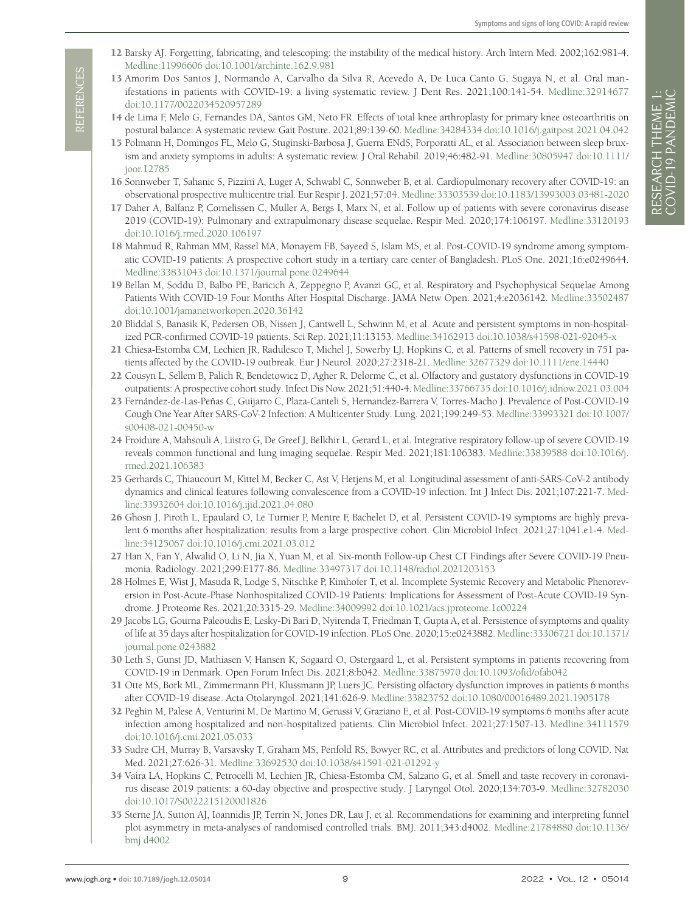- <span id="page-8-0"></span>12 Barsky AJ. Forgetting, fabricating, and telescoping: the instability of the medical history. Arch Intern Med. 2002;162:981-4. [Medline:11996606](https://www.ncbi.nlm.nih.gov/entrez/query.fcgi?cmd=Retrieve&db=PubMed&list_uids=11996606&dopt=Abstract) [doi:10.1001/archinte.162.9.981](https://doi.org/10.1001/archinte.162.9.981)
- <span id="page-8-1"></span>13 Amorim Dos Santos J, Normando A, Carvalho da Silva R, Acevedo A, De Luca Canto G, Sugaya N, et al. Oral manifestations in patients with COVID-19: a living systematic review. J Dent Res. 2021;100:141-54. [Medline:32914677](https://www.ncbi.nlm.nih.gov/entrez/query.fcgi?cmd=Retrieve&db=PubMed&list_uids=32914677&dopt=Abstract) [doi:10.1177/0022034520957289](https://doi.org/10.1177/0022034520957289)
- <span id="page-8-24"></span><span id="page-8-23"></span><span id="page-8-22"></span><span id="page-8-21"></span><span id="page-8-20"></span><span id="page-8-19"></span><span id="page-8-18"></span><span id="page-8-17"></span><span id="page-8-16"></span><span id="page-8-15"></span><span id="page-8-14"></span><span id="page-8-13"></span><span id="page-8-12"></span><span id="page-8-11"></span><span id="page-8-10"></span><span id="page-8-9"></span><span id="page-8-8"></span><span id="page-8-7"></span><span id="page-8-6"></span>14 de Lima F, Melo G, Fernandes DA, Santos GM, Neto FR. Effects of total knee arthroplasty for primary knee osteoarthritis on postural balance: A systematic review. Gait Posture. 2021;89:139-60. [Medline:34284334](https://www.ncbi.nlm.nih.gov/entrez/query.fcgi?cmd=Retrieve&db=PubMed&list_uids=34284334&dopt=Abstract) [doi:10.1016/j.gaitpost.2021.04.042](https://doi.org/10.1016/j.gaitpost.2021.04.042)
- <span id="page-8-2"></span>15 Polmann H, Domingos FL, Melo G, Stuginski-Barbosa J, Guerra ENdS, Porporatti AL, et al. Association between sleep bruxism and anxiety symptoms in adults: A systematic review. J Oral Rehabil. 2019;46:482-91. [Medline:30805947](https://www.ncbi.nlm.nih.gov/entrez/query.fcgi?cmd=Retrieve&db=PubMed&list_uids=30805947&dopt=Abstract) [doi:10.1111/](https://doi.org/10.1111/joor.12785) [joor.12785](https://doi.org/10.1111/joor.12785)
- <span id="page-8-3"></span>16 Sonnweber T, Sahanic S, Pizzini A, Luger A, Schwabl C, Sonnweber B, et al. Cardiopulmonary recovery after COVID-19: an observational prospective multicentre trial. Eur Respir J. 2021;57:04. [Medline:33303539](https://www.ncbi.nlm.nih.gov/entrez/query.fcgi?cmd=Retrieve&db=PubMed&list_uids=33303539&dopt=Abstract) [doi:10.1183/13993003.03481-2020](https://doi.org/10.1183/13993003.03481-2020)
- <span id="page-8-4"></span>17 Daher A, Balfanz P, Cornelissen C, Muller A, Bergs I, Marx N, et al. Follow up of patients with severe coronavirus disease 2019 (COVID-19): Pulmonary and extrapulmonary disease sequelae. Respir Med. 2020;174:106197. [Medline:33120193](https://www.ncbi.nlm.nih.gov/entrez/query.fcgi?cmd=Retrieve&db=PubMed&list_uids=33120193&dopt=Abstract) [doi:10.1016/j.rmed.2020.106197](https://doi.org/10.1016/j.rmed.2020.106197)
- <span id="page-8-5"></span>18 Mahmud R, Rahman MM, Rassel MA, Monayem FB, Sayeed S, Islam MS, et al. Post-COVID-19 syndrome among symptomatic COVID-19 patients: A prospective cohort study in a tertiary care center of Bangladesh. PLoS One. 2021;16:e0249644. [Medline:33831043](https://www.ncbi.nlm.nih.gov/entrez/query.fcgi?cmd=Retrieve&db=PubMed&list_uids=33831043&dopt=Abstract) [doi:10.1371/journal.pone.0249644](https://doi.org/10.1371/journal.pone.0249644)
- 19 Bellan M, Soddu D, Balbo PE, Baricich A, Zeppegno P, Avanzi GC, et al. Respiratory and Psychophysical Sequelae Among Patients With COVID-19 Four Months After Hospital Discharge. JAMA Netw Open. 2021;4:e2036142. [Medline:33502487](https://www.ncbi.nlm.nih.gov/entrez/query.fcgi?cmd=Retrieve&db=PubMed&list_uids=33502487&dopt=Abstract) [doi:10.1001/jamanetworkopen.2020.36142](https://doi.org/10.1001/jamanetworkopen.2020.36142)
- 20 Bliddal S, Banasik K, Pedersen OB, Nissen J, Cantwell L, Schwinn M, et al. Acute and persistent symptoms in non-hospitalized PCR-confirmed COVID-19 patients. Sci Rep. 2021;11:13153. [Medline:34162913](https://www.ncbi.nlm.nih.gov/entrez/query.fcgi?cmd=Retrieve&db=PubMed&list_uids=34162913&dopt=Abstract) [doi:10.1038/s41598-021-92045-x](https://doi.org/10.1038/s41598-021-92045-x)
- <span id="page-8-26"></span>21 Chiesa-Estomba CM, Lechien JR, Radulesco T, Michel J, Sowerby LJ, Hopkins C, et al. Patterns of smell recovery in 751 patients affected by the COVID-19 outbreak. Eur J Neurol. 2020;27:2318-21. [Medline:32677329](https://www.ncbi.nlm.nih.gov/entrez/query.fcgi?cmd=Retrieve&db=PubMed&list_uids=32677329&dopt=Abstract) [doi:10.1111/ene.14440](https://doi.org/10.1111/ene.14440)
- <span id="page-8-27"></span>22 Cousyn L, Sellem B, Palich R, Bendetowicz D, Agher R, Delorme C, et al. Olfactory and gustatory dysfunctions in COVID-19 outpatients: A prospective cohort study. Infect Dis Now. 2021;51:440-4. [Medline:33766735](https://www.ncbi.nlm.nih.gov/entrez/query.fcgi?cmd=Retrieve&db=PubMed&list_uids=33766735&dopt=Abstract) [doi:10.1016/j.idnow.2021.03.004](https://doi.org/10.1016/j.idnow.2021.03.004)
- 23 Fernández-de-Las-Peñas C, Guijarro C, Plaza-Canteli S, Hernandez-Barrera V, Torres-Macho J. Prevalence of Post-COVID-19 Cough One Year After SARS-CoV-2 Infection: A Multicenter Study. Lung. 2021;199:249-53. [Medline:33993321](https://www.ncbi.nlm.nih.gov/entrez/query.fcgi?cmd=Retrieve&db=PubMed&list_uids=33993321&dopt=Abstract) [doi:10.1007/](https://doi.org/10.1007/s00408-021-00450-w) [s00408-021-00450-w](https://doi.org/10.1007/s00408-021-00450-w)
- 24 Froidure A, Mahsouli A, Liistro G, De Greef J, Belkhir L, Gerard L, et al. Integrative respiratory follow-up of severe COVID-19 reveals common functional and lung imaging sequelae. Respir Med. 2021;181:106383. [Medline:33839588](https://www.ncbi.nlm.nih.gov/entrez/query.fcgi?cmd=Retrieve&db=PubMed&list_uids=33839588&dopt=Abstract) [doi:10.1016/j.](https://doi.org/10.1016/j.rmed.2021.106383) [rmed.2021.106383](https://doi.org/10.1016/j.rmed.2021.106383)
- 25 Gerhards C, Thiaucourt M, Kittel M, Becker C, Ast V, Hetjens M, et al. Longitudinal assessment of anti-SARS-CoV-2 antibody dynamics and clinical features following convalescence from a COVID-19 infection. Int J Infect Dis. 2021;107:221-7. [Med](https://www.ncbi.nlm.nih.gov/entrez/query.fcgi?cmd=Retrieve&db=PubMed&list_uids=33932604&dopt=Abstract)[line:33932604](https://www.ncbi.nlm.nih.gov/entrez/query.fcgi?cmd=Retrieve&db=PubMed&list_uids=33932604&dopt=Abstract) [doi:10.1016/j.ijid.2021.04.080](https://doi.org/10.1016/j.ijid.2021.04.080)
- 26 Ghosn J, Piroth L, Epaulard O, Le Turnier P, Mentre F, Bachelet D, et al. Persistent COVID-19 symptoms are highly prevalent 6 months after hospitalization: results from a large prospective cohort. Clin Microbiol Infect. 2021;27:1041.e1-4. [Med](https://www.ncbi.nlm.nih.gov/entrez/query.fcgi?cmd=Retrieve&db=PubMed&list_uids=34125067&dopt=Abstract)[line:34125067](https://www.ncbi.nlm.nih.gov/entrez/query.fcgi?cmd=Retrieve&db=PubMed&list_uids=34125067&dopt=Abstract) [doi:10.1016/j.cmi.2021.03.012](https://doi.org/10.1016/j.cmi.2021.03.012)
- 27 Han X, Fan Y, Alwalid O, Li N, Jia X, Yuan M, et al. Six-month Follow-up Chest CT Findings after Severe COVID-19 Pneumonia. Radiology. 2021;299:E177-86. [Medline:33497317](https://www.ncbi.nlm.nih.gov/entrez/query.fcgi?cmd=Retrieve&db=PubMed&list_uids=33497317&dopt=Abstract) [doi:10.1148/radiol.2021203153](https://doi.org/10.1148/radiol.2021203153)
- 28 Holmes E, Wist J, Masuda R, Lodge S, Nitschke P, Kimhofer T, et al. Incomplete Systemic Recovery and Metabolic Phenoreversion in Post-Acute-Phase Nonhospitalized COVID-19 Patients: Implications for Assessment of Post-Acute COVID-19 Syndrome. J Proteome Res. 2021;20:3315-29. [Medline:34009992](https://www.ncbi.nlm.nih.gov/entrez/query.fcgi?cmd=Retrieve&db=PubMed&list_uids=34009992&dopt=Abstract) [doi:10.1021/acs.jproteome.1c00224](https://doi.org/10.1021/acs.jproteome.1c00224)
- 29 Jacobs LG, Gourna Paleoudis E, Lesky-Di Bari D, Nyirenda T, Friedman T, Gupta A, et al. Persistence of symptoms and quality of life at 35 days after hospitalization for COVID-19 infection. PLoS One. 2020;15:e0243882. [Medline:33306721](https://www.ncbi.nlm.nih.gov/entrez/query.fcgi?cmd=Retrieve&db=PubMed&list_uids=33306721&dopt=Abstract) [doi:10.1371/](https://doi.org/10.1371/journal.pone.0243882) [journal.pone.0243882](https://doi.org/10.1371/journal.pone.0243882)
- 30 Leth S, Gunst JD, Mathiasen V, Hansen K, Sogaard O, Ostergaard L, et al. Persistent symptoms in patients recovering from COVID-19 in Denmark. Open Forum Infect Dis. 2021;8:b042. [Medline:33875970](https://www.ncbi.nlm.nih.gov/entrez/query.fcgi?cmd=Retrieve&db=PubMed&list_uids=33875970&dopt=Abstract) [doi:10.1093/ofid/ofab042](https://doi.org/10.1093/ofid/ofab042)
- <span id="page-8-28"></span>31 Otte MS, Bork ML, Zimmermann PH, Klussmann JP, Luers JC. Persisting olfactory dysfunction improves in patients 6 months after COVID-19 disease. Acta Otolaryngol. 2021;141:626-9. [Medline:33823752](https://www.ncbi.nlm.nih.gov/entrez/query.fcgi?cmd=Retrieve&db=PubMed&list_uids=33823752&dopt=Abstract) [doi:10.1080/00016489.2021.1905178](https://doi.org/10.1080/00016489.2021.1905178)
- 32 Peghin M, Palese A, Venturini M, De Martino M, Gerussi V, Graziano E, et al. Post-COVID-19 symptoms 6 months after acute infection among hospitalized and non-hospitalized patients. Clin Microbiol Infect. 2021;27:1507-13. [Medline:34111579](https://www.ncbi.nlm.nih.gov/entrez/query.fcgi?cmd=Retrieve&db=PubMed&list_uids=34111579&dopt=Abstract) [doi:10.1016/j.cmi.2021.05.033](https://doi.org/10.1016/j.cmi.2021.05.033)
- 33 Sudre CH, Murray B, Varsavsky T, Graham MS, Penfold RS, Bowyer RC, et al. Attributes and predictors of long COVID. Nat Med. 2021;27:626-31. [Medline:33692530](https://www.ncbi.nlm.nih.gov/entrez/query.fcgi?cmd=Retrieve&db=PubMed&list_uids=33692530&dopt=Abstract) [doi:10.1038/s41591-021-01292-y](https://doi.org/10.1038/s41591-021-01292-y)
- 34 Vaira LA, Hopkins C, Petrocelli M, Lechien JR, Chiesa-Estomba CM, Salzano G, et al. Smell and taste recovery in coronavirus disease 2019 patients: a 60-day objective and prospective study. J Laryngol Otol. 2020;134:703-9. [Medline:32782030](https://www.ncbi.nlm.nih.gov/entrez/query.fcgi?cmd=Retrieve&db=PubMed&list_uids=32782030&dopt=Abstract) [doi:10.1017/S0022215120001826](https://doi.org/10.1017/S0022215120001826)
- <span id="page-8-25"></span>35 Sterne JA, Sutton AJ, Ioannidis JP, Terrin N, Jones DR, Lau J, et al. Recommendations for examining and interpreting funnel plot asymmetry in meta-analyses of randomised controlled trials. BMJ. 2011;343:d4002. [Medline:21784880](https://www.ncbi.nlm.nih.gov/entrez/query.fcgi?cmd=Retrieve&db=PubMed&list_uids=21784880&dopt=Abstract) [doi:10.1136/](https://doi.org/10.1136/bmj.d4002) [bmj.d4002](https://doi.org/10.1136/bmj.d4002)